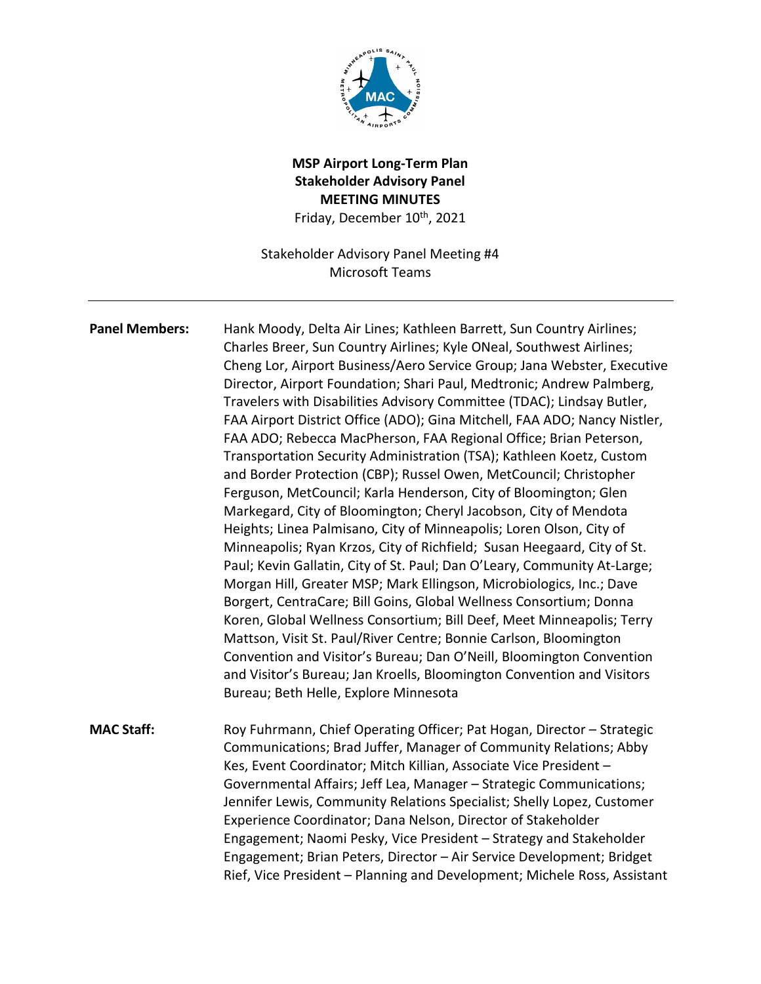

# **MSP Airport Long-Term Plan Stakeholder Advisory Panel MEETING MINUTES** Friday, December 10<sup>th</sup>, 2021

Stakeholder Advisory Panel Meeting #4 Microsoft Teams

**Panel Members:** Hank Moody, Delta Air Lines; Kathleen Barrett, Sun Country Airlines; Charles Breer, Sun Country Airlines; Kyle ONeal, Southwest Airlines; Cheng Lor, Airport Business/Aero Service Group; Jana Webster, Executive Director, Airport Foundation; Shari Paul, Medtronic; Andrew Palmberg, Travelers with Disabilities Advisory Committee (TDAC); Lindsay Butler, FAA Airport District Office (ADO); Gina Mitchell, FAA ADO; Nancy Nistler, FAA ADO; Rebecca MacPherson, FAA Regional Office; Brian Peterson, Transportation Security Administration (TSA); Kathleen Koetz, Custom and Border Protection (CBP); Russel Owen, MetCouncil; Christopher Ferguson, MetCouncil; Karla Henderson, City of Bloomington; Glen Markegard, City of Bloomington; Cheryl Jacobson, City of Mendota Heights; Linea Palmisano, City of Minneapolis; Loren Olson, City of Minneapolis; Ryan Krzos, City of Richfield; Susan Heegaard, City of St. Paul; Kevin Gallatin, City of St. Paul; Dan O'Leary, Community At-Large; Morgan Hill, Greater MSP; Mark Ellingson, Microbiologics, Inc.; Dave Borgert, CentraCare; Bill Goins, Global Wellness Consortium; Donna Koren, Global Wellness Consortium; Bill Deef, Meet Minneapolis; Terry Mattson, Visit St. Paul/River Centre; Bonnie Carlson, Bloomington Convention and Visitor's Bureau; Dan O'Neill, Bloomington Convention and Visitor's Bureau; Jan Kroells, Bloomington Convention and Visitors Bureau; Beth Helle, Explore Minnesota

**MAC Staff:** Roy Fuhrmann, Chief Operating Officer; Pat Hogan, Director – Strategic Communications; Brad Juffer, Manager of Community Relations; Abby Kes, Event Coordinator; Mitch Killian, Associate Vice President – Governmental Affairs; Jeff Lea, Manager – Strategic Communications; Jennifer Lewis, Community Relations Specialist; Shelly Lopez, Customer Experience Coordinator; Dana Nelson, Director of Stakeholder Engagement; Naomi Pesky, Vice President – Strategy and Stakeholder Engagement; Brian Peters, Director – Air Service Development; Bridget Rief, Vice President – Planning and Development; Michele Ross, Assistant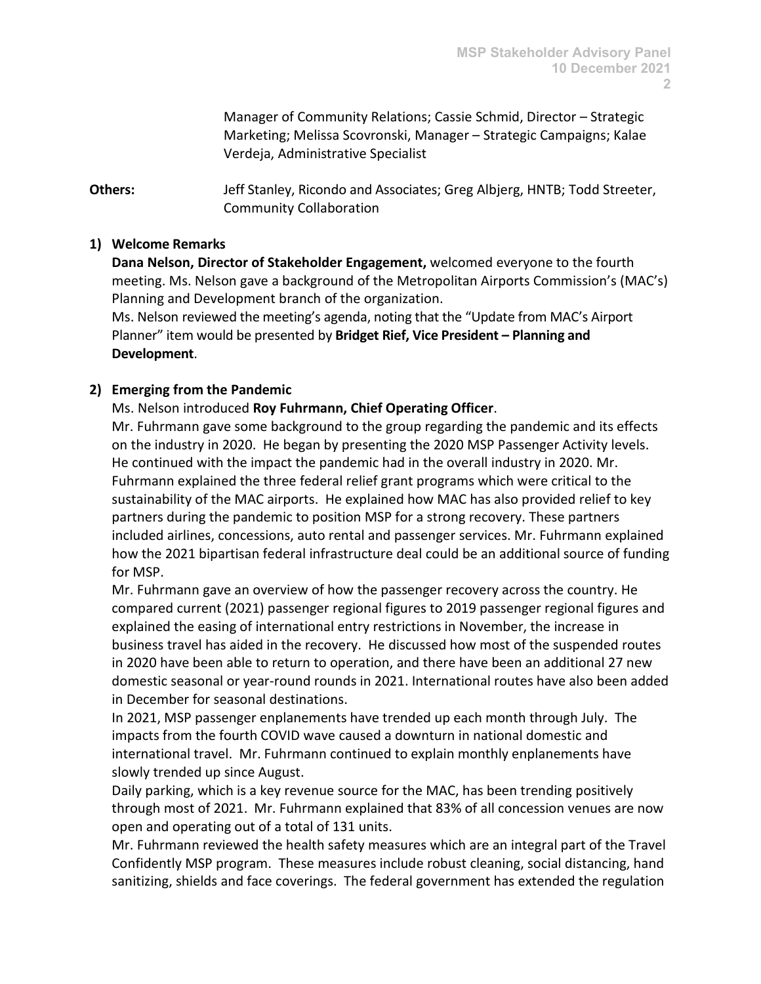Manager of Community Relations; Cassie Schmid, Director – Strategic Marketing; Melissa Scovronski, Manager – Strategic Campaigns; Kalae Verdeja, Administrative Specialist

**Others:** Jeff Stanley, Ricondo and Associates; Greg Albjerg, HNTB; Todd Streeter, Community Collaboration

#### **1) Welcome Remarks**

**Dana Nelson, Director of Stakeholder Engagement,** welcomed everyone to the fourth meeting. Ms. Nelson gave a background of the Metropolitan Airports Commission's (MAC's) Planning and Development branch of the organization.

Ms. Nelson reviewed the meeting's agenda, noting that the "Update from MAC's Airport Planner" item would be presented by **Bridget Rief, Vice President – Planning and Development**.

#### **2) Emerging from the Pandemic**

# Ms. Nelson introduced **Roy Fuhrmann, Chief Operating Officer**.

Mr. Fuhrmann gave some background to the group regarding the pandemic and its effects on the industry in 2020. He began by presenting the 2020 MSP Passenger Activity levels. He continued with the impact the pandemic had in the overall industry in 2020. Mr. Fuhrmann explained the three federal relief grant programs which were critical to the sustainability of the MAC airports. He explained how MAC has also provided relief to key partners during the pandemic to position MSP for a strong recovery. These partners included airlines, concessions, auto rental and passenger services. Mr. Fuhrmann explained how the 2021 bipartisan federal infrastructure deal could be an additional source of funding for MSP.

Mr. Fuhrmann gave an overview of how the passenger recovery across the country. He compared current (2021) passenger regional figures to 2019 passenger regional figures and explained the easing of international entry restrictions in November, the increase in business travel has aided in the recovery. He discussed how most of the suspended routes in 2020 have been able to return to operation, and there have been an additional 27 new domestic seasonal or year-round rounds in 2021. International routes have also been added in December for seasonal destinations.

In 2021, MSP passenger enplanements have trended up each month through July. The impacts from the fourth COVID wave caused a downturn in national domestic and international travel. Mr. Fuhrmann continued to explain monthly enplanements have slowly trended up since August.

Daily parking, which is a key revenue source for the MAC, has been trending positively through most of 2021. Mr. Fuhrmann explained that 83% of all concession venues are now open and operating out of a total of 131 units.

Mr. Fuhrmann reviewed the health safety measures which are an integral part of the Travel Confidently MSP program. These measures include robust cleaning, social distancing, hand sanitizing, shields and face coverings. The federal government has extended the regulation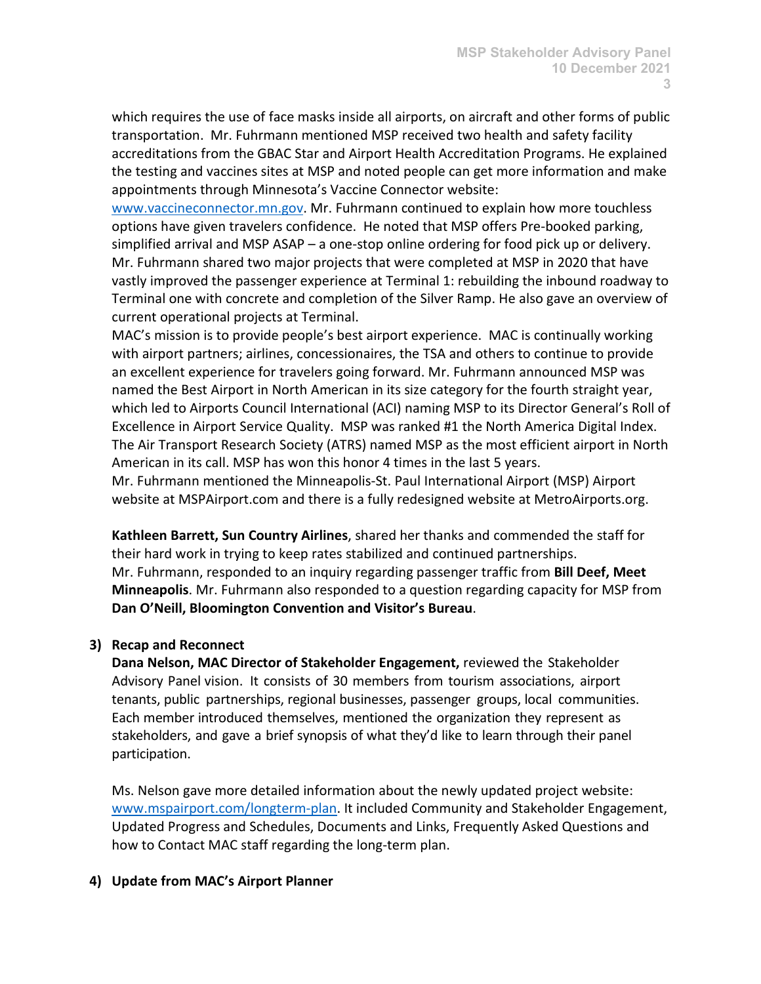which requires the use of face masks inside all airports, on aircraft and other forms of public transportation. Mr. Fuhrmann mentioned MSP received two health and safety facility accreditations from the GBAC Star and Airport Health Accreditation Programs. He explained the testing and vaccines sites at MSP and noted people can get more information and make appointments through Minnesota's Vaccine Connector website:

[www.vaccineconnector.mn.gov.](http://www.vaccineconnector.mn.gov/) Mr. Fuhrmann continued to explain how more touchless options have given travelers confidence. He noted that MSP offers Pre-booked parking, simplified arrival and MSP ASAP – a one-stop online ordering for food pick up or delivery. Mr. Fuhrmann shared two major projects that were completed at MSP in 2020 that have vastly improved the passenger experience at Terminal 1: rebuilding the inbound roadway to Terminal one with concrete and completion of the Silver Ramp. He also gave an overview of current operational projects at Terminal.

MAC's mission is to provide people's best airport experience. MAC is continually working with airport partners; airlines, concessionaires, the TSA and others to continue to provide an excellent experience for travelers going forward. Mr. Fuhrmann announced MSP was named the Best Airport in North American in its size category for the fourth straight year, which led to Airports Council International (ACI) naming MSP to its Director General's Roll of Excellence in Airport Service Quality. MSP was ranked #1 the North America Digital Index. The Air Transport Research Society (ATRS) named MSP as the most efficient airport in North American in its call. MSP has won this honor 4 times in the last 5 years.

Mr. Fuhrmann mentioned the Minneapolis-St. Paul International Airport (MSP) Airport website at MSPAirport.com and there is a fully redesigned website at MetroAirports.org.

**Kathleen Barrett, Sun Country Airlines**, shared her thanks and commended the staff for their hard work in trying to keep rates stabilized and continued partnerships. Mr. Fuhrmann, responded to an inquiry regarding passenger traffic from **Bill Deef, Meet Minneapolis**. Mr. Fuhrmann also responded to a question regarding capacity for MSP from **Dan O'Neill, Bloomington Convention and Visitor's Bureau**.

# **3) Recap and Reconnect**

**Dana Nelson, MAC Director of Stakeholder Engagement,** reviewed the Stakeholder Advisory Panel vision. It consists of 30 members from tourism associations, airport tenants, public partnerships, regional businesses, passenger groups, local communities. Each member introduced themselves, mentioned the organization they represent as stakeholders, and gave a brief synopsis of what they'd like to learn through their panel participation.

Ms. Nelson gave more detailed information about the newly updated project website: [www.mspairport.com/longterm-plan.](http://www.mspairport.com/longterm-plan) It included Community and Stakeholder Engagement, Updated Progress and Schedules, Documents and Links, Frequently Asked Questions and how to Contact MAC staff regarding the long-term plan.

# **4) Update from MAC's Airport Planner**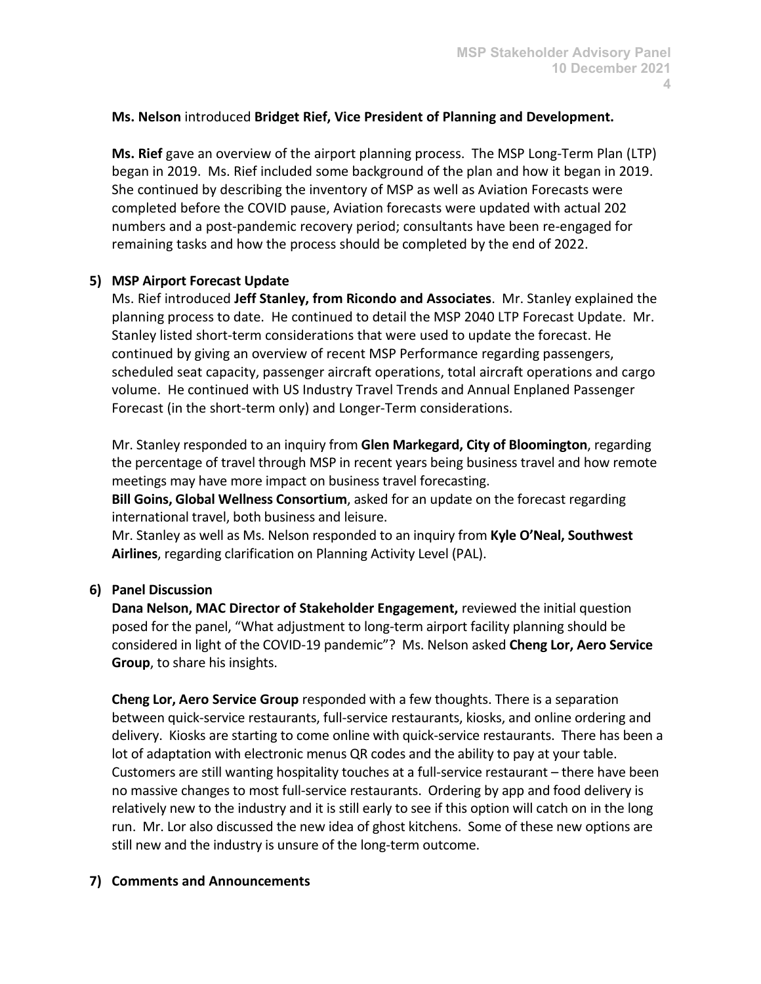#### **Ms. Nelson** introduced **Bridget Rief, Vice President of Planning and Development.**

**Ms. Rief** gave an overview of the airport planning process. The MSP Long-Term Plan (LTP) began in 2019. Ms. Rief included some background of the plan and how it began in 2019. She continued by describing the inventory of MSP as well as Aviation Forecasts were completed before the COVID pause, Aviation forecasts were updated with actual 202 numbers and a post-pandemic recovery period; consultants have been re-engaged for remaining tasks and how the process should be completed by the end of 2022.

#### **5) MSP Airport Forecast Update**

Ms. Rief introduced **Jeff Stanley, from Ricondo and Associates**. Mr. Stanley explained the planning process to date. He continued to detail the MSP 2040 LTP Forecast Update. Mr. Stanley listed short-term considerations that were used to update the forecast. He continued by giving an overview of recent MSP Performance regarding passengers, scheduled seat capacity, passenger aircraft operations, total aircraft operations and cargo volume. He continued with US Industry Travel Trends and Annual Enplaned Passenger Forecast (in the short-term only) and Longer-Term considerations.

Mr. Stanley responded to an inquiry from **Glen Markegard, City of Bloomington**, regarding the percentage of travel through MSP in recent years being business travel and how remote meetings may have more impact on business travel forecasting.

**Bill Goins, Global Wellness Consortium**, asked for an update on the forecast regarding international travel, both business and leisure.

Mr. Stanley as well as Ms. Nelson responded to an inquiry from **Kyle O'Neal, Southwest Airlines**, regarding clarification on Planning Activity Level (PAL).

# **6) Panel Discussion**

**Dana Nelson, MAC Director of Stakeholder Engagement,** reviewed the initial question posed for the panel, "What adjustment to long-term airport facility planning should be considered in light of the COVID-19 pandemic"? Ms. Nelson asked **Cheng Lor, Aero Service Group**, to share his insights.

**Cheng Lor, Aero Service Group** responded with a few thoughts. There is a separation between quick-service restaurants, full-service restaurants, kiosks, and online ordering and delivery. Kiosks are starting to come online with quick-service restaurants. There has been a lot of adaptation with electronic menus QR codes and the ability to pay at your table. Customers are still wanting hospitality touches at a full-service restaurant – there have been no massive changes to most full-service restaurants. Ordering by app and food delivery is relatively new to the industry and it is still early to see if this option will catch on in the long run. Mr. Lor also discussed the new idea of ghost kitchens. Some of these new options are still new and the industry is unsure of the long-term outcome.

# **7) Comments and Announcements**